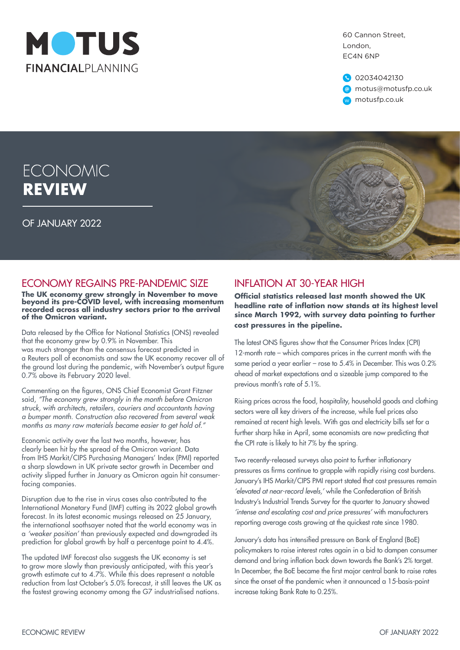

60 Cannon Street, London, EC4N 6NP

02034042130 @ motus@motusfp.co.uk w motusfp.co.uk

# **ECONOMIC REVIEW**

OF JANUARY 2022



## ECONOMY REGAINS PRE-PANDEMIC SIZE

**The UK economy grew strongly in November to move beyond its pre-COVID level, with increasing momentum recorded across all industry sectors prior to the arrival of the Omicron variant.**

Data released by the Office for National Statistics (ONS) revealed that the economy grew by 0.9% in November. This was much stronger than the consensus forecast predicted in a Reuters poll of economists and saw the UK economy recover all of the ground lost during the pandemic, with November's output figure 0.7% above its February 2020 level.

Commenting on the figures, ONS Chief Economist Grant Fitzner said, *"The economy grew strongly in the month before Omicron struck, with architects, retailers, couriers and accountants having a bumper month. Construction also recovered from several weak months as many raw materials became easier to get hold of."*

Economic activity over the last two months, however, has clearly been hit by the spread of the Omicron variant. Data from IHS Markit/CIPS Purchasing Managers' Index (PMI) reported a sharp slowdown in UK private sector growth in December and activity slipped further in January as Omicron again hit consumerfacing companies.

Disruption due to the rise in virus cases also contributed to the International Monetary Fund (IMF) cutting its 2022 global growth forecast. In its latest economic musings released on 25 January, the international soothsayer noted that the world economy was in a *'weaker position'* than previously expected and downgraded its prediction for global growth by half a percentage point to 4.4%.

The updated IMF forecast also suggests the UK economy is set to grow more slowly than previously anticipated, with this year's growth estimate cut to 4.7%. While this does represent a notable reduction from last October's 5.0% forecast, it still leaves the UK as the fastest growing economy among the G7 industrialised nations.

## INFLATION AT 30-YEAR HIGH

**Official statistics released last month showed the UK headline rate of inflation now stands at its highest level since March 1992, with survey data pointing to further cost pressures in the pipeline.**

The latest ONS figures show that the Consumer Prices Index (CPI) 12-month rate – which compares prices in the current month with the same period a year earlier – rose to 5.4% in December. This was 0.2% ahead of market expectations and a sizeable jump compared to the previous month's rate of 5.1%.

Rising prices across the food, hospitality, household goods and clothing sectors were all key drivers of the increase, while fuel prices also remained at recent high levels. With gas and electricity bills set for a further sharp hike in April, some economists are now predicting that the CPI rate is likely to hit 7% by the spring.

Two recently-released surveys also point to further inflationary pressures as firms continue to grapple with rapidly rising cost burdens. January's IHS Markit/CIPS PMI report stated that cost pressures remain *'elevated at near-record levels,'* while the Confederation of British Industry's Industrial Trends Survey for the quarter to January showed *'intense and escalating cost and price pressures'* with manufacturers reporting average costs growing at the quickest rate since 1980.

January's data has intensified pressure on Bank of England (BoE) policymakers to raise interest rates again in a bid to dampen consumer demand and bring inflation back down towards the Bank's 2% target. In December, the BoE became the first major central bank to raise rates since the onset of the pandemic when it announced a 15-basis-point increase taking Bank Rate to 0.25%.